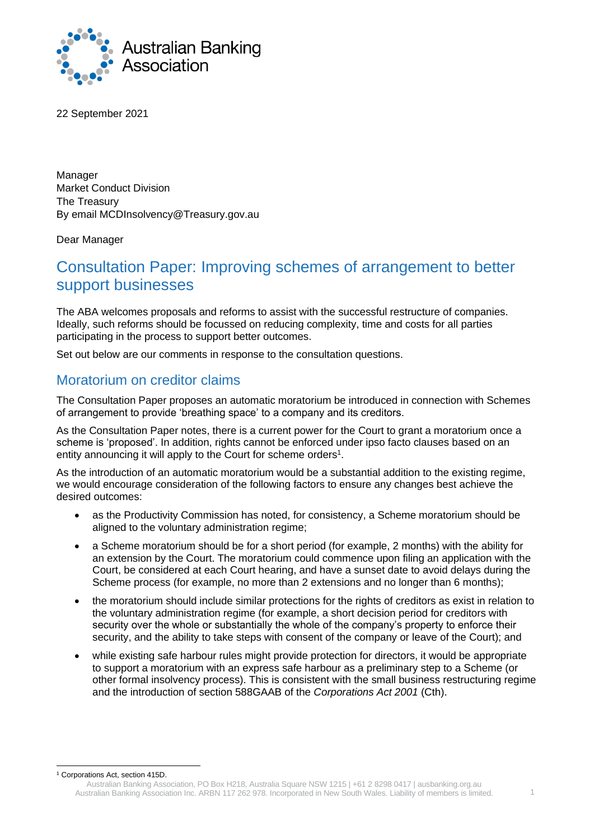

22 September 2021

Manager Market Conduct Division The Treasury By email MCDInsolvency@Treasury.gov.au

Dear Manager

# Consultation Paper: Improving schemes of arrangement to better support businesses

The ABA welcomes proposals and reforms to assist with the successful restructure of companies. Ideally, such reforms should be focussed on reducing complexity, time and costs for all parties participating in the process to support better outcomes.

Set out below are our comments in response to the consultation questions.

#### Moratorium on creditor claims

The Consultation Paper proposes an automatic moratorium be introduced in connection with Schemes of arrangement to provide 'breathing space' to a company and its creditors.

As the Consultation Paper notes, there is a current power for the Court to grant a moratorium once a scheme is 'proposed'. In addition, rights cannot be enforced under ipso facto clauses based on an entity announcing it will apply to the Court for scheme orders<sup>1</sup>.

As the introduction of an automatic moratorium would be a substantial addition to the existing regime, we would encourage consideration of the following factors to ensure any changes best achieve the desired outcomes:

- as the Productivity Commission has noted, for consistency, a Scheme moratorium should be aligned to the voluntary administration regime;
- a Scheme moratorium should be for a short period (for example, 2 months) with the ability for an extension by the Court. The moratorium could commence upon filing an application with the Court, be considered at each Court hearing, and have a sunset date to avoid delays during the Scheme process (for example, no more than 2 extensions and no longer than 6 months);
- the moratorium should include similar protections for the rights of creditors as exist in relation to the voluntary administration regime (for example, a short decision period for creditors with security over the whole or substantially the whole of the company's property to enforce their security, and the ability to take steps with consent of the company or leave of the Court); and
- while existing safe harbour rules might provide protection for directors, it would be appropriate to support a moratorium with an express safe harbour as a preliminary step to a Scheme (or other formal insolvency process). This is consistent with the small business restructuring regime and the introduction of section 588GAAB of the *Corporations Act 2001* (Cth).

<sup>1</sup> Corporations Act, section 415D.

Australian Banking Association, PO Box H218, Australia Square NSW 1215 | +61 2 8298 0417 | ausbanking.org.au Australian Banking Association Inc. ARBN 117 262 978. Incorporated in New South Wales. Liability of members is limited. 1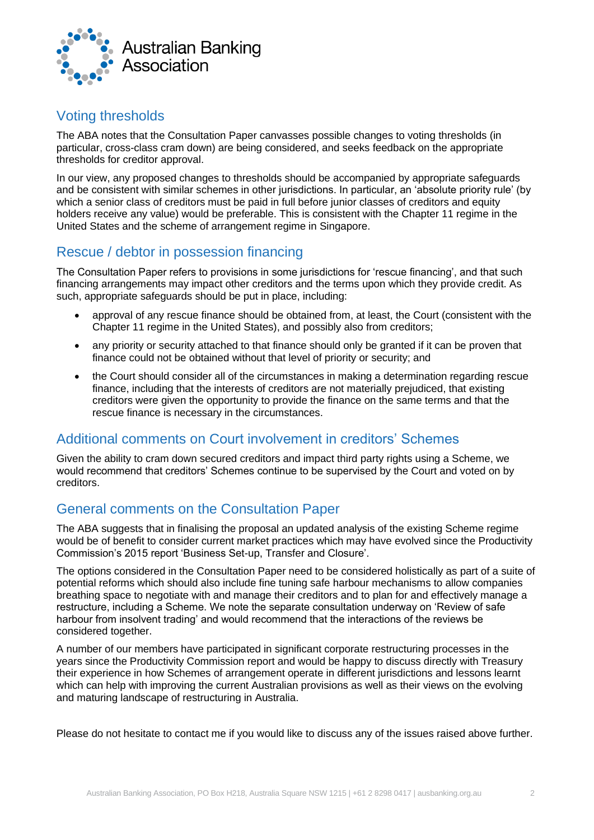

## Voting thresholds

The ABA notes that the Consultation Paper canvasses possible changes to voting thresholds (in particular, cross-class cram down) are being considered, and seeks feedback on the appropriate thresholds for creditor approval.

In our view, any proposed changes to thresholds should be accompanied by appropriate safeguards and be consistent with similar schemes in other jurisdictions. In particular, an 'absolute priority rule' (by which a senior class of creditors must be paid in full before junior classes of creditors and equity holders receive any value) would be preferable. This is consistent with the Chapter 11 regime in the United States and the scheme of arrangement regime in Singapore.

## Rescue / debtor in possession financing

The Consultation Paper refers to provisions in some jurisdictions for 'rescue financing', and that such financing arrangements may impact other creditors and the terms upon which they provide credit. As such, appropriate safeguards should be put in place, including:

- approval of any rescue finance should be obtained from, at least, the Court (consistent with the Chapter 11 regime in the United States), and possibly also from creditors;
- any priority or security attached to that finance should only be granted if it can be proven that finance could not be obtained without that level of priority or security; and
- the Court should consider all of the circumstances in making a determination regarding rescue finance, including that the interests of creditors are not materially prejudiced, that existing creditors were given the opportunity to provide the finance on the same terms and that the rescue finance is necessary in the circumstances.

#### Additional comments on Court involvement in creditors' Schemes

Given the ability to cram down secured creditors and impact third party rights using a Scheme, we would recommend that creditors' Schemes continue to be supervised by the Court and voted on by creditors.

## General comments on the Consultation Paper

The ABA suggests that in finalising the proposal an updated analysis of the existing Scheme regime would be of benefit to consider current market practices which may have evolved since the Productivity Commission's 2015 report 'Business Set-up, Transfer and Closure'.

The options considered in the Consultation Paper need to be considered holistically as part of a suite of potential reforms which should also include fine tuning safe harbour mechanisms to allow companies breathing space to negotiate with and manage their creditors and to plan for and effectively manage a restructure, including a Scheme. We note the separate consultation underway on 'Review of safe harbour from insolvent trading' and would recommend that the interactions of the reviews be considered together.

A number of our members have participated in significant corporate restructuring processes in the years since the Productivity Commission report and would be happy to discuss directly with Treasury their experience in how Schemes of arrangement operate in different jurisdictions and lessons learnt which can help with improving the current Australian provisions as well as their views on the evolving and maturing landscape of restructuring in Australia.

Please do not hesitate to contact me if you would like to discuss any of the issues raised above further.